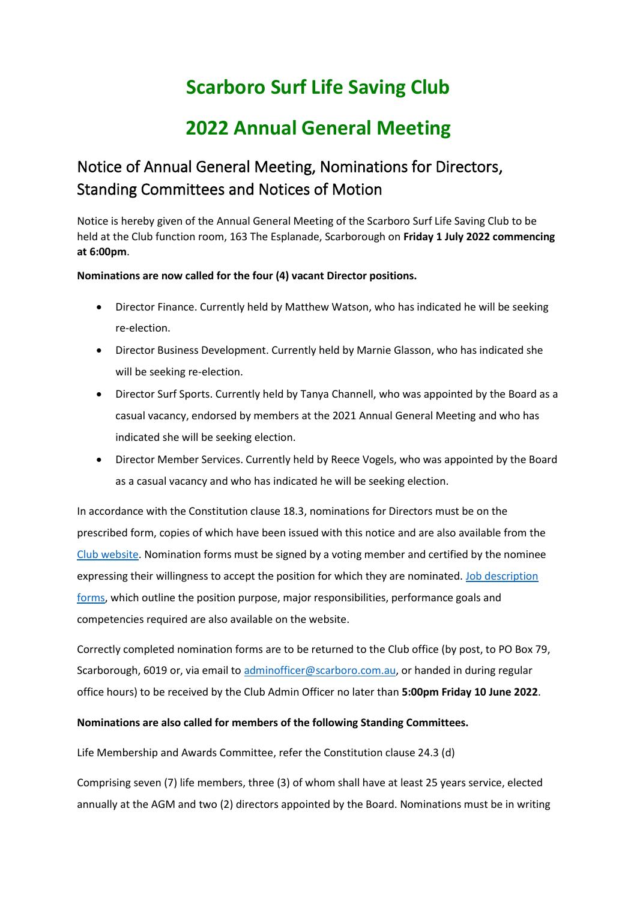# **Scarboro Surf Life Saving Club**

# **2022 Annual General Meeting**

## Notice of Annual General Meeting, Nominations for Directors, Standing Committees and Notices of Motion

Notice is hereby given of the Annual General Meeting of the Scarboro Surf Life Saving Club to be held at the Club function room, 163 The Esplanade, Scarborough on **Friday 1 July 2022 commencing at 6:00pm**.

**Nominations are now called for the four (4) vacant Director positions.**

- Director Finance. Currently held by Matthew Watson, who has indicated he will be seeking re-election.
- Director Business Development. Currently held by Marnie Glasson, who has indicated she will be seeking re-election.
- Director Surf Sports. Currently held by Tanya Channell, who was appointed by the Board as a casual vacancy, endorsed by members at the 2021 Annual General Meeting and who has indicated she will be seeking election.
- Director Member Services. Currently held by Reece Vogels, who was appointed by the Board as a casual vacancy and who has indicated he will be seeking election.

In accordance with the Constitution clause 18.3, nominations for Directors must be on the prescribed form, copies of which have been issued with this notice and are also available from the [Club website.](http://www.scarboro.com.au/meetings-minutes/) Nomination forms must be signed by a voting member and certified by the nominee expressing their willingness to accept the position for which they are nominated. Job description [forms,](http://www.scarboro.com.au/office-bearers/) which outline the position purpose, major responsibilities, performance goals and competencies required are also available on the website.

Correctly completed nomination forms are to be returned to the Club office (by post, to PO Box 79, Scarborough, 6019 or, via email to [adminofficer@scarboro.com.au,](mailto:adminofficer@scarboro.com.au) or handed in during regular office hours) to be received by the Club Admin Officer no later than **5:00pm Friday 10 June 2022**.

#### **Nominations are also called for members of the following Standing Committees.**

Life Membership and Awards Committee, refer the Constitution clause 24.3 (d)

Comprising seven (7) life members, three (3) of whom shall have at least 25 years service, elected annually at the AGM and two (2) directors appointed by the Board. Nominations must be in writing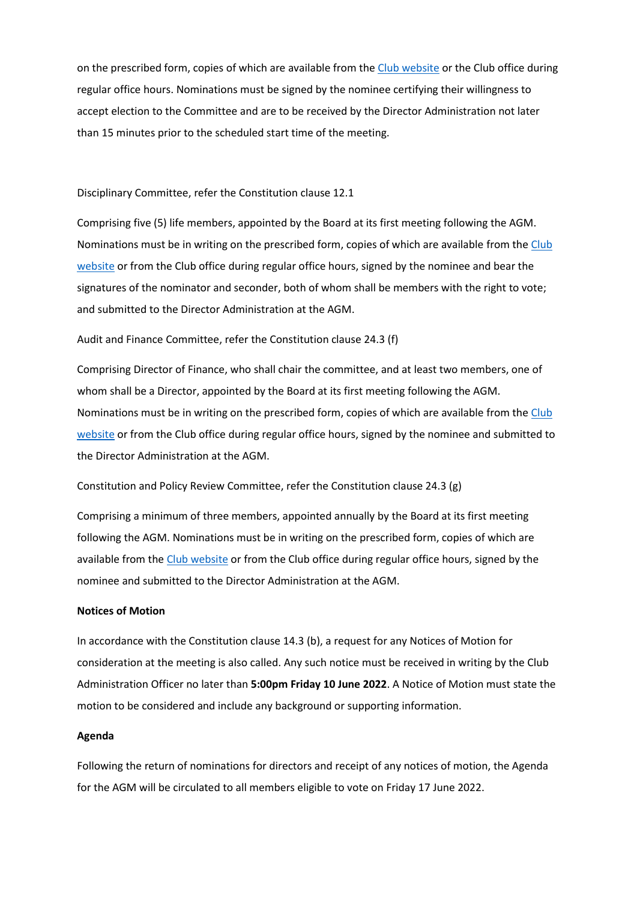on the prescribed form, copies of which are available from the [Club website](http://www.scarboro.com.au/meetings-minutes/) or the Club office during regular office hours. Nominations must be signed by the nominee certifying their willingness to accept election to the Committee and are to be received by the Director Administration not later than 15 minutes prior to the scheduled start time of the meeting.

#### Disciplinary Committee, refer the Constitution clause 12.1

Comprising five (5) life members, appointed by the Board at its first meeting following the AGM. Nominations must be in writing on the prescribed form, copies of which are available from the Club [website](http://www.scarboro.com.au/meetings-minutes/) or from the Club office during regular office hours, signed by the nominee and bear the signatures of the nominator and seconder, both of whom shall be members with the right to vote; and submitted to the Director Administration at the AGM.

#### Audit and Finance Committee, refer the Constitution clause 24.3 (f)

Comprising Director of Finance, who shall chair the committee, and at least two members, one of whom shall be a Director, appointed by the Board at its first meeting following the AGM. Nominations must be in writing on the prescribed form, copies of which are available from the [Club](http://www.scarboro.com.au/meetings-minutes/)  [website](http://www.scarboro.com.au/meetings-minutes/) or from the Club office during regular office hours, signed by the nominee and submitted to the Director Administration at the AGM.

#### Constitution and Policy Review Committee, refer the Constitution clause 24.3 (g)

Comprising a minimum of three members, appointed annually by the Board at its first meeting following the AGM. Nominations must be in writing on the prescribed form, copies of which are available from the [Club website](http://www.scarboro.com.au/meetings-minutes/) or from the Club office during regular office hours, signed by the nominee and submitted to the Director Administration at the AGM.

#### **Notices of Motion**

In accordance with the Constitution clause 14.3 (b), a request for any Notices of Motion for consideration at the meeting is also called. Any such notice must be received in writing by the Club Administration Officer no later than **5:00pm Friday 10 June 2022**. A Notice of Motion must state the motion to be considered and include any background or supporting information.

#### **Agenda**

Following the return of nominations for directors and receipt of any notices of motion, the Agenda for the AGM will be circulated to all members eligible to vote on Friday 17 June 2022.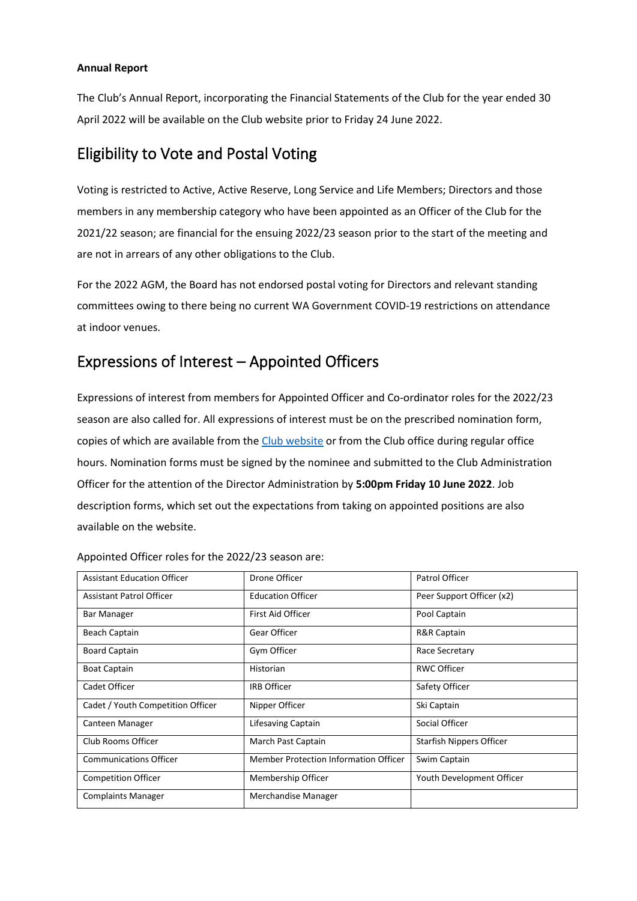#### **Annual Report**

The Club's Annual Report, incorporating the Financial Statements of the Club for the year ended 30 April 2022 will be available on the Club website prior to Friday 24 June 2022.

## Eligibility to Vote and Postal Voting

Voting is restricted to Active, Active Reserve, Long Service and Life Members; Directors and those members in any membership category who have been appointed as an Officer of the Club for the 2021/22 season; are financial for the ensuing 2022/23 season prior to the start of the meeting and are not in arrears of any other obligations to the Club.

For the 2022 AGM, the Board has not endorsed postal voting for Directors and relevant standing committees owing to there being no current WA Government COVID-19 restrictions on attendance at indoor venues.

## Expressions of Interest – Appointed Officers

Expressions of interest from members for Appointed Officer and Co-ordinator roles for the 2022/23 season are also called for. All expressions of interest must be on the prescribed nomination form, copies of which are available from th[e Club website](http://www.scarboro.com.au/meetings-minutes/) or from the Club office during regular office hours. Nomination forms must be signed by the nominee and submitted to the Club Administration Officer for the attention of the Director Administration by **5:00pm Friday 10 June 2022**. Job description forms, which set out the expectations from taking on appointed positions are also available on the website.

| <b>Assistant Education Officer</b> | Drone Officer                         | Patrol Officer                  |
|------------------------------------|---------------------------------------|---------------------------------|
| <b>Assistant Patrol Officer</b>    | <b>Education Officer</b>              | Peer Support Officer (x2)       |
| <b>Bar Manager</b>                 | First Aid Officer                     | Pool Captain                    |
| Beach Captain                      | Gear Officer                          | R&R Captain                     |
| <b>Board Captain</b>               | Gym Officer                           | Race Secretary                  |
| <b>Boat Captain</b>                | Historian                             | <b>RWC Officer</b>              |
| Cadet Officer                      | <b>IRB Officer</b>                    | Safety Officer                  |
| Cadet / Youth Competition Officer  | Nipper Officer                        | Ski Captain                     |
| Canteen Manager                    | Lifesaving Captain                    | Social Officer                  |
| Club Rooms Officer                 | March Past Captain                    | <b>Starfish Nippers Officer</b> |
| <b>Communications Officer</b>      | Member Protection Information Officer | Swim Captain                    |
| <b>Competition Officer</b>         | Membership Officer                    | Youth Development Officer       |
| <b>Complaints Manager</b>          | Merchandise Manager                   |                                 |

Appointed Officer roles for the 2022/23 season are: